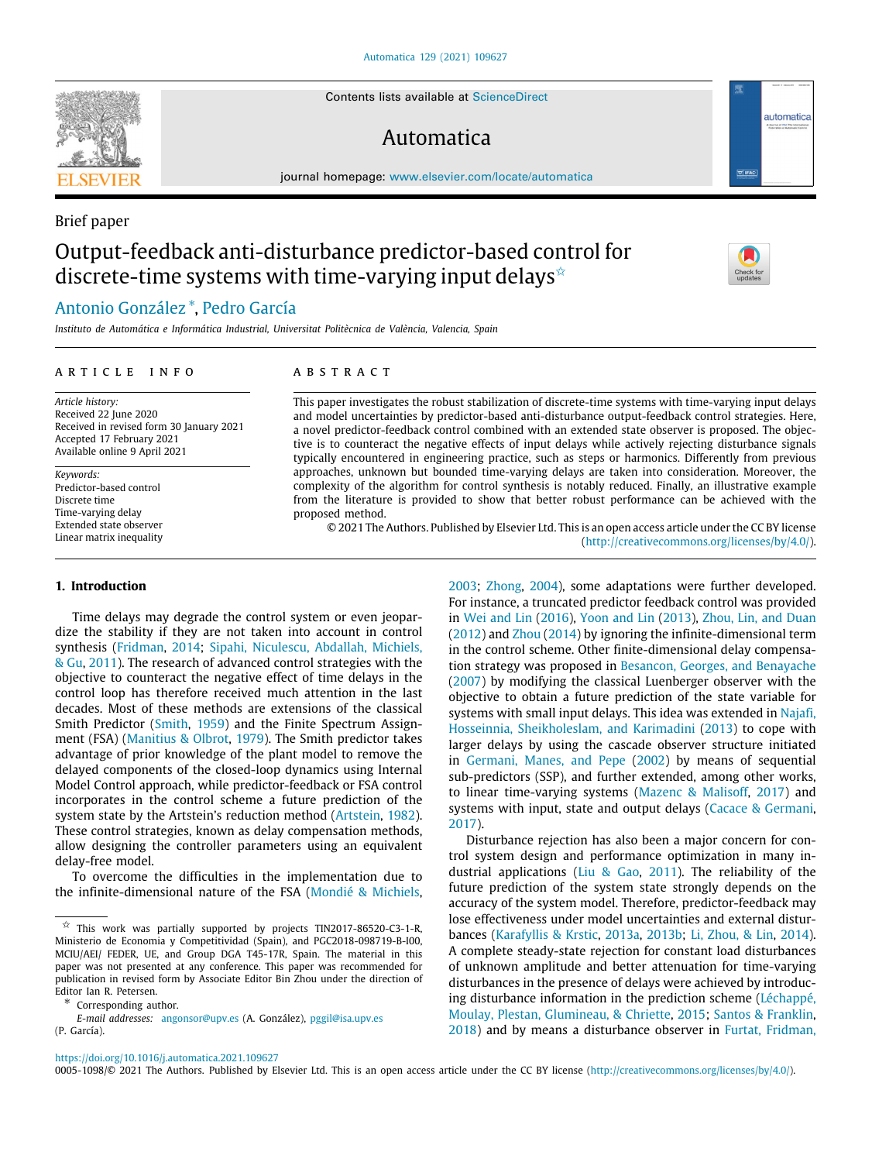Contents lists available at [ScienceDirect](http://www.elsevier.com/locate/automatica)

# Output-feedback anti-disturbance predictor-based control for discrete-time systems with time-varying input delays<sup> $\hat{\star}$ </sup>

## [Antonio](#page-7-0) [González](#page-7-0) [∗](#page-0-1) , [Pedro](#page-7-1) [García](#page-7-1)

*Instituto de Automática e Informática Industrial, Universitat Politècnica de València, Valencia, Spain*

## a r t i c l e i n f o

*Article history:* Received 22 June 2020 Received in revised form 30 January 2021 Accepted 17 February 2021 Available online 9 April 2021

*Keywords:* Predictor-based control Discrete time Time-varying delay Extended state observer Linear matrix inequality

**1. Introduction**

## A B S T R A C T

This paper investigates the robust stabilization of discrete-time systems with time-varying input delays and model uncertainties by predictor-based anti-disturbance output-feedback control strategies. Here, a novel predictor-feedback control combined with an extended state observer is proposed. The objective is to counteract the negative effects of input delays while actively rejecting disturbance signals typically encountered in engineering practice, such as steps or harmonics. Differently from previous approaches, unknown but bounded time-varying delays are taken into consideration. Moreover, the complexity of the algorithm for control synthesis is notably reduced. Finally, an illustrative example from the literature is provided to show that better robust performance can be achieved with the proposed method.

© 2021 The Authors. Published by Elsevier Ltd. This is an open access article under the CC BY license [\(http://creativecommons.org/licenses/by/4.0/](http://creativecommons.org/licenses/by/4.0/)).

Time delays may degrade the control system or even jeopardize the stability if they are not taken into account in control synthesis ([Fridman,](#page-7-2) [2014;](#page-7-2) [Sipahi, Niculescu, Abdallah, Michiels,](#page-7-3) [& Gu,](#page-7-3) [2011](#page-7-3)). The research of advanced control strategies with the objective to counteract the negative effect of time delays in the control loop has therefore received much attention in the last decades. Most of these methods are extensions of the classical Smith Predictor ([Smith](#page-7-4), [1959](#page-7-4)) and the Finite Spectrum Assignment (FSA) ([Manitius & Olbrot](#page-7-5), [1979](#page-7-5)). The Smith predictor takes advantage of prior knowledge of the plant model to remove the delayed components of the closed-loop dynamics using Internal Model Control approach, while predictor-feedback or FSA control incorporates in the control scheme a future prediction of the system state by the Artstein's reduction method [\(Artstein,](#page-7-6) [1982\)](#page-7-6). These control strategies, known as delay compensation methods, allow designing the controller parameters using an equivalent delay-free model.

To overcome the difficulties in the implementation due to the infinite-dimensional nature of the FSA [\(Mondié & Michiels,](#page-7-7)

<span id="page-0-1"></span>∗ Corresponding author.

*E-mail addresses:* [angonsor@upv.es](mailto:angonsor@upv.es) (A. González), [pggil@isa.upv.es](mailto:pggil@isa.upv.es) (P. García).

<https://doi.org/10.1016/j.automatica.2021.109627>

[2003;](#page-7-7) [Zhong](#page-7-8), [2004](#page-7-8)), some adaptations were further developed. For instance, a truncated predictor feedback control was provided in [Wei and Lin](#page-7-9) [\(2016\)](#page-7-9), [Yoon and Lin](#page-7-10) [\(2013](#page-7-10)), [Zhou, Lin, and Duan](#page-7-11) ([2012\)](#page-7-11) and [Zhou](#page-7-12) ([2014\)](#page-7-12) by ignoring the infinite-dimensional term in the control scheme. Other finite-dimensional delay compensation strategy was proposed in [Besancon, Georges, and Benayache](#page-7-13) ([2007\)](#page-7-13) by modifying the classical Luenberger observer with the objective to obtain a future prediction of the state variable for systems with small input delays. This idea was extended in [Najafi,](#page-7-14) [Hosseinnia, Sheikholeslam, and Karimadini](#page-7-14) ([2013\)](#page-7-14) to cope with larger delays by using the cascade observer structure initiated in [Germani, Manes, and Pepe](#page-7-15) [\(2002](#page-7-15)) by means of sequential sub-predictors (SSP), and further extended, among other works, to linear time-varying systems ([Mazenc & Malisoff,](#page-7-16) [2017](#page-7-16)) and systems with input, state and output delays ([Cacace & Germani,](#page-7-17) [2017\)](#page-7-17).

Disturbance rejection has also been a major concern for control system design and performance optimization in many industrial applications [\(Liu & Gao,](#page-7-18) [2011\)](#page-7-18). The reliability of the future prediction of the system state strongly depends on the accuracy of the system model. Therefore, predictor-feedback may lose effectiveness under model uncertainties and external disturbances ([Karafyllis & Krstic,](#page-7-19) [2013a](#page-7-19), [2013b](#page-7-20); [Li, Zhou, & Lin](#page-7-21), [2014\)](#page-7-21). A complete steady-state rejection for constant load disturbances of unknown amplitude and better attenuation for time-varying disturbances in the presence of delays were achieved by introducing disturbance information in the prediction scheme ([Léchappé,](#page-7-22) [Moulay, Plestan, Glumineau, & Chriette](#page-7-22), [2015](#page-7-22); [Santos & Franklin,](#page-7-23) [2018\)](#page-7-23) and by means a disturbance observer in [Furtat, Fridman,](#page-7-24)

## Automatica

journal homepage: [www.elsevier.com/locate/automatica](http://www.elsevier.com/locate/automatica)



Brief paper



automatica

0005-1098/© 2021 The Authors. Published by Elsevier Ltd. This is an open access article under the CC BY license ([http://creativecommons.org/licenses/by/4.0/\)](http://creativecommons.org/licenses/by/4.0/).

<span id="page-0-0"></span> $\overrightarrow{x}$  This work was partially supported by projects TIN2017-86520-C3-1-R, Ministerio de Economia y Competitividad (Spain), and PGC2018-098719-B-I00, MCIU/AEI/ FEDER, UE, and Group DGA T45-17R, Spain. The material in this paper was not presented at any conference. This paper was recommended for publication in revised form by Associate Editor Bin Zhou under the direction of Editor Ian R. Petersen.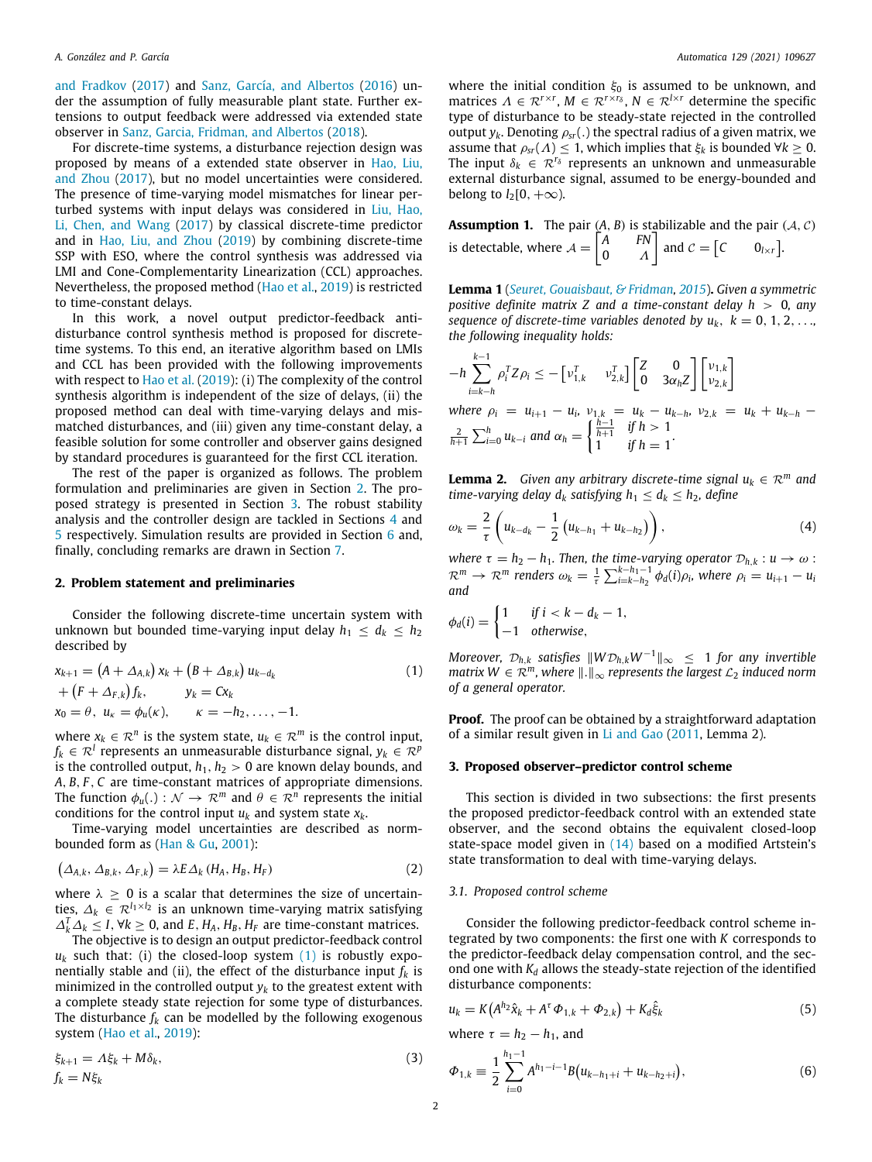[and Fradkov](#page-7-24) [\(2017\)](#page-7-24) and [Sanz, García, and Albertos](#page-7-25) [\(2016](#page-7-25)) under the assumption of fully measurable plant state. Further extensions to output feedback were addressed via extended state observer in [Sanz, Garcia, Fridman, and Albertos](#page-7-26) ([2018](#page-7-26)).

For discrete-time systems, a disturbance rejection design was proposed by means of a extended state observer in [Hao, Liu,](#page-7-27) [and Zhou](#page-7-27) ([2017](#page-7-27)), but no model uncertainties were considered. The presence of time-varying model mismatches for linear perturbed systems with input delays was considered in [Liu, Hao,](#page-7-28) [Li, Chen, and Wang](#page-7-28) [\(2017](#page-7-28)) by classical discrete-time predictor and in [Hao, Liu, and Zhou](#page-7-29) [\(2019\)](#page-7-29) by combining discrete-time SSP with ESO, where the control synthesis was addressed via LMI and Cone-Complementarity Linearization (CCL) approaches. Nevertheless, the proposed method ([Hao et al.,](#page-7-29) [2019](#page-7-29)) is restricted to time-constant delays.

In this work, a novel output predictor-feedback antidisturbance control synthesis method is proposed for discretetime systems. To this end, an iterative algorithm based on LMIs and CCL has been provided with the following improvements with respect to [Hao et al.](#page-7-29) [\(2019](#page-7-29)): (i) The complexity of the control synthesis algorithm is independent of the size of delays, (ii) the proposed method can deal with time-varying delays and mismatched disturbances, and (iii) given any time-constant delay, a feasible solution for some controller and observer gains designed by standard procedures is guaranteed for the first CCL iteration.

The rest of the paper is organized as follows. The problem formulation and preliminaries are given in Section [2.](#page-1-0) The proposed strategy is presented in Section [3](#page-1-1). The robust stability analysis and the controller design are tackled in Sections [4](#page-2-0) and [5](#page-3-0) respectively. Simulation results are provided in Section [6](#page-4-0) and, finally, concluding remarks are drawn in Section [7.](#page-5-0)

## **2. Problem statement and preliminaries**

<span id="page-1-0"></span>Consider the following discrete-time uncertain system with unknown but bounded time-varying input delay  $h_1 \leq d_k \leq h_2$ described by

$$
x_{k+1} = (A + \Delta_{A,k}) x_k + (B + \Delta_{B,k}) u_{k-d_k}
$$
  
+  $(F + \Delta_{F,k}) f_k$ ,  $y_k = Cx_k$   
 $x_0 = \theta$ ,  $u_k = \phi_u(\kappa)$ ,  $\kappa = -h_2, ..., -1$ . (1)

where  $x_k \in \mathcal{R}^n$  is the system state,  $u_k \in \mathcal{R}^m$  is the control input,  $f_k \in \mathcal{R}^l$  represents an unmeasurable disturbance signal,  $y_k \in \mathcal{R}^p$ is the controlled output,  $h_1$ ,  $h_2 > 0$  are known delay bounds, and *A*, *B*, *F* , *C* are time-constant matrices of appropriate dimensions. The function  $\phi_u(.) : \mathcal{N} \to \mathcal{R}^m$  and  $\theta \in \mathcal{R}^n$  represents the initial conditions for the control input  $u_k$  and system state  $x_k$ .

Time-varying model uncertainties are described as normbounded form as [\(Han & Gu,](#page-7-30) [2001\)](#page-7-30):

$$
\left(\Delta_{A,k},\Delta_{B,k},\Delta_{F,k}\right)=\lambda E\Delta_k\left(H_A,H_B,H_F\right) \tag{2}
$$

where  $\lambda \geq 0$  is a scalar that determines the size of uncertainties, ∆*<sup>k</sup>* ∈ <sup>R</sup>*l*1×*l*<sup>2</sup> is an unknown time-varying matrix satisfying  $\Delta_k^T \Delta_k$  ≤ *I*, ∀*k* ≥ 0, and *E*, *H<sub>A</sub>*, *H<sub>B</sub>*, *H<sub>F</sub>* are time-constant matrices.

The objective is to design an output predictor-feedback control  $u_k$  such that: (i) the closed-loop system ([1\)](#page-1-2) is robustly exponentially stable and (ii), the effect of the disturbance input  $f_k$  is minimized in the controlled output  $y_k$  to the greatest extent with a complete steady state rejection for some type of disturbances. The disturbance  $f_k$  can be modelled by the following exogenous system ([Hao et al.](#page-7-29), [2019](#page-7-29)):

$$
\xi_{k+1} = \Lambda \xi_k + M \delta_k, \tag{3}
$$
\n
$$
f_k = N \xi_k
$$

where the initial condition  $\xi_0$  is assumed to be unknown, and matrices  $\Lambda \in \mathbb{R}^{r \times r}$ ,  $M \in \mathbb{R}^{r \times r_{\delta}}$ ,  $N \in \mathbb{R}^{l \times r}$  determine the specific type of disturbance to be steady-state rejected in the controlled output  $y_k$ . Denoting  $\rho_{sr}$ (.) the spectral radius of a given matrix, we assume that  $\rho_{sr}(\Lambda) \leq 1$ , which implies that  $\xi_k$  is bounded  $\forall k \geq 0$ . The input  $\delta_k \in \mathcal{R}^{r_\delta}$  represents an unknown and unmeasurable external disturbance signal, assumed to be energy-bounded and belong to  $l_2[0, +\infty)$ .

<span id="page-1-9"></span>**Assumption 1.** The pair  $(A, B)$  is stabilizable and the pair  $(A, C)$ is detectable, where  $A = \begin{bmatrix} A & F N \\ 0 & A \end{bmatrix}$ 0 Λ and  $c = [c \t 0_{l \times r}]$ .

<span id="page-1-10"></span>**Lemma 1** (*[Seuret, Gouaisbaut, & Fridman](#page-7-31), [2015](#page-7-31)*)**.** *Given a symmetric positive definite matrix Z and a time-constant delay h* > 0*, any sequence of discrete-time variables denoted by*  $u_k$ *,*  $k = 0, 1, 2, \ldots$ *the following inequality holds:*

$$
-h\sum_{i=k-h}^{k-1} \rho_i^T Z \rho_i \le -\begin{bmatrix} v_{1,k}^T & v_{2,k}^T \end{bmatrix} \begin{bmatrix} Z & 0 \\ 0 & 3\alpha_h Z \end{bmatrix} \begin{bmatrix} v_{1,k} \\ v_{2,k} \end{bmatrix}
$$
  
where  $\rho_i = u_{i+1} - u_i$ ,  $v_{1,k} = u_k - u_{k-h}$ ,  $v_{2,k} = u_k + u_{k-h} - \frac{2}{h+1} \sum_{i=0}^h u_{k-i}$  and  $\alpha_h = \begin{cases} \frac{h-1}{h+1} & \text{if } h > 1 \\ 1 & \text{if } h = 1 \end{cases}$ .

<span id="page-1-8"></span>**Lemma 2.** *Given any arbitrary discrete-time signal*  $u_k \in \mathbb{R}^m$  *and time-varying delay*  $d_k$  *satisfying*  $h_1 \leq d_k \leq h_2$ *, define* 

<span id="page-1-6"></span>
$$
\omega_k = \frac{2}{\tau} \left( u_{k-d_k} - \frac{1}{2} \left( u_{k-h_1} + u_{k-h_2} \right) \right), \tag{4}
$$

*where*  $\tau = h_2 - h_1$ *. Then, the time-varying operator*  $\mathcal{D}_{h,k}: u \to \omega$ :  $\mathcal{R}^m \to \mathcal{R}^m$  renders  $\omega_k = \frac{1}{\tau} \sum_{i=k-h_2}^{k-h_1-1} \phi_d(i) \rho_i$ , where  $\rho_i = u_{i+1} - u_i$ *and*

$$
\phi_d(i) = \begin{cases} 1 & \text{if } i < k - d_k - 1, \\ -1 & \text{otherwise,} \end{cases}
$$

<span id="page-1-2"></span>*Moreover,*  $\mathcal{D}_{h,k}$  *satisfies*  $||W\mathcal{D}_{h,k}W^{-1}||_{\infty} \leq 1$  *for any invertible matrix*  $W \in \mathbb{R}^m$ , where  $\|\cdot\|_{\infty}$  *represents the largest*  $\mathcal{L}_2$  *induced norm of a general operator.*

**Proof.** The proof can be obtained by a straightforward adaptation of a similar result given in [Li and Gao](#page-7-32) ([2011](#page-7-32), Lemma 2).

## **3. Proposed observer–predictor control scheme**

<span id="page-1-1"></span>This section is divided in two subsections: the first presents the proposed predictor-feedback control with an extended state observer, and the second obtains the equivalent closed-loop state-space model given in [\(14\)](#page-2-1) based on a modified Artstein's state transformation to deal with time-varying delays.

## <span id="page-1-5"></span>*3.1. Proposed control scheme*

Consider the following predictor-feedback control scheme integrated by two components: the first one with *K* corresponds to the predictor-feedback delay compensation control, and the second one with  $K_d$  allows the steady-state rejection of the identified disturbance components:

<span id="page-1-3"></span>
$$
u_k = K(A^{h_2}\hat{x}_k + A^{\tau}\Phi_{1,k} + \Phi_{2,k}) + K_d\hat{\xi}_k
$$
\n(5)

where  $\tau = h_2 - h_1$ , and

<span id="page-1-7"></span><span id="page-1-4"></span>
$$
\Phi_{1,k} \equiv \frac{1}{2} \sum_{i=0}^{h_1-1} A^{h_1-i-1} B(u_{k-h_1+i} + u_{k-h_2+i}), \tag{6}
$$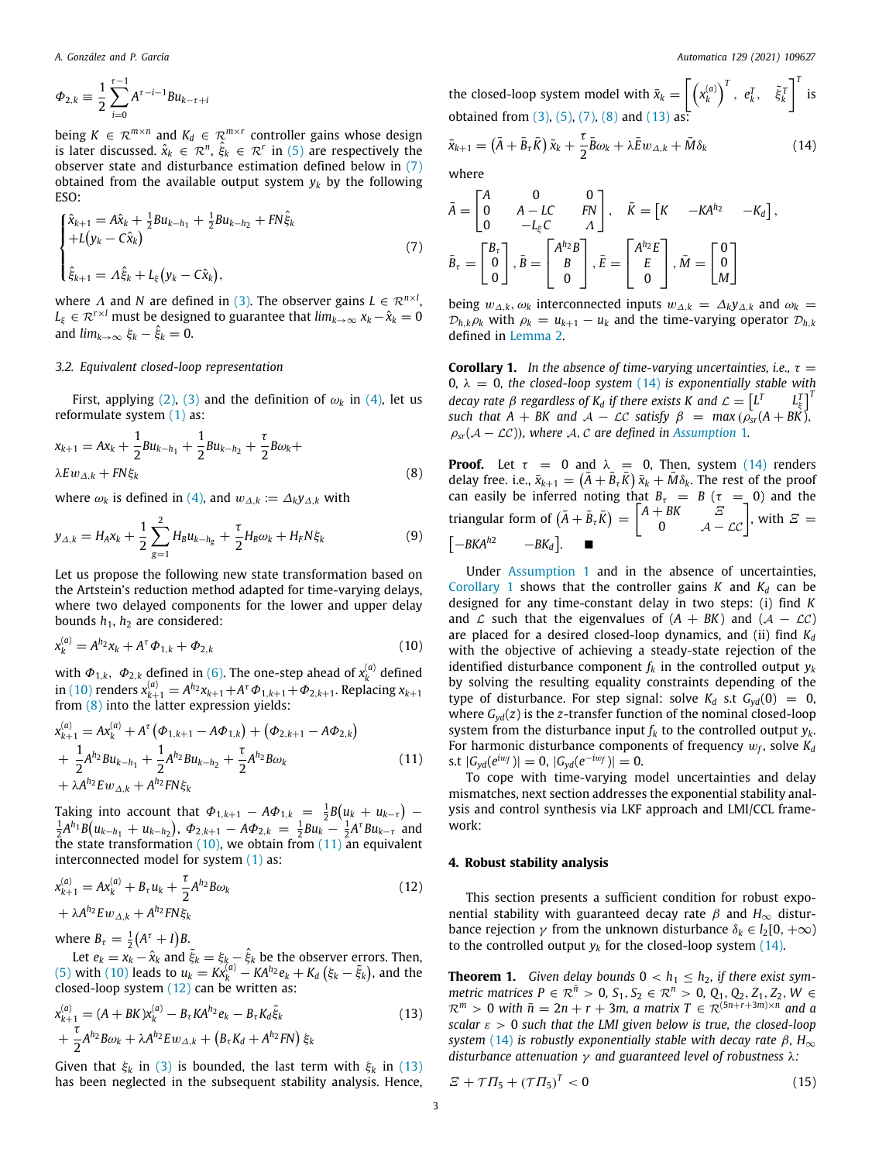$$
\Phi_{2,k} \equiv \frac{1}{2} \sum_{i=0}^{\tau-1} A^{\tau-i-1} B u_{k-\tau+i}
$$

being  $K \in \mathbb{R}^{m \times n}$  and  $K_d \in \mathbb{R}^{m \times r}$  controller gains whose design is later discussed.  $\hat{x}_k \in \mathcal{R}^n$ ,  $\hat{\xi}_k \in \mathcal{R}^r$  in ([5](#page-1-3)) are respectively the observer state and disturbance estimation defined below in ([7\)](#page-2-2) obtained from the available output system  $y_k$  by the following ESO:

$$
\begin{cases} \hat{x}_{k+1} = A\hat{x}_k + \frac{1}{2}Bu_{k-h_1} + \frac{1}{2}Bu_{k-h_2} + FN\hat{\xi}_k \\ + L(y_k - C\hat{x}_k) \\ \hat{\xi}_{k+1} = A\hat{\xi}_k + L_{\xi}(y_k - C\hat{x}_k), \end{cases}
$$
(7)

where  $\Lambda$  and  $N$  are defined in ([3\)](#page-1-4). The observer gains  $L \in \mathcal{R}^{n \times l}$ ,  $L_{\xi} \in \mathcal{R}^{r \times l}$  must be designed to guarantee that  $\lim_{k \to \infty} x_k - \hat{x}_k = 0$ and  $\lim_{k\to\infty} \xi_k - \hat{\xi}_k = 0$ .

## *3.2. Equivalent closed-loop representation*

First, applying ([2\)](#page-1-5), [\(3](#page-1-4)) and the definition of  $\omega_k$  in [\(4\)](#page-1-6), let us reformulate system ([1\)](#page-1-2) as:

$$
x_{k+1} = Ax_k + \frac{1}{2}Bu_{k-h_1} + \frac{1}{2}Bu_{k-h_2} + \frac{\tau}{2}B\omega_k + \lambda Ew_{\Delta,k} + FN\xi_k
$$
\n(8)

where  $\omega_k$  is defined in ([4\)](#page-1-6), and  $w_{\Delta,k} := \Delta_k y_{\Delta,k}$  with

$$
y_{\Delta,k} = H_A x_k + \frac{1}{2} \sum_{g=1}^{2} H_B u_{k-h_g} + \frac{\tau}{2} H_B \omega_k + H_F N \xi_k
$$
 (9)

Let us propose the following new state transformation based on the Artstein's reduction method adapted for time-varying delays, where two delayed components for the lower and upper delay bounds  $h_1$ ,  $h_2$  are considered:

$$
x_k^{(a)} = A^{h_2} x_k + A^{\tau} \Phi_{1,k} + \Phi_{2,k}
$$
 (10)

with  $\Phi_{1,k}$ ,  $\Phi_{2,k}$  defined in ([6](#page-1-7)). The one-step ahead of  $x_k^{(a)}$  defined  $\sin{(10)}$  $\sin{(10)}$  $\sin{(10)}$  renders  $x_{k+1}^{(a)} = A^{h_2}x_{k+1} + A^{\tau}\Phi_{1,k+1} + \Phi_{2,k+1}$ . Replacing  $x_{k+1}$ from ([8\)](#page-2-4) into the latter expression yields:

$$
x_{k+1}^{(a)} = Ax_k^{(a)} + A^{\tau} (\Phi_{1,k+1} - A\Phi_{1,k}) + (\Phi_{2,k+1} - A\Phi_{2,k})
$$
  
+ 
$$
\frac{1}{2} A^{h_2} B u_{k-h_1} + \frac{1}{2} A^{h_2} B u_{k-h_2} + \frac{\tau}{2} A^{h_2} B \omega_k
$$
  
+ 
$$
\lambda A^{h_2} E w_{\Delta,k} + A^{h_2} F N \xi_k
$$
 (11)

Taking into account that  $\Phi_{1,k+1} - A\Phi_{1,k} = \frac{1}{2}B(u_k + u_{k-\tau}) \frac{1}{2}A^{h_1}B(u_{k-h_1} + u_{k-h_2}), \ \Phi_{2,k+1} - A\Phi_{2,k} = \frac{1}{2}Bu_k - \frac{1}{2}A^{\tau}Bu_{k-\tau}$  and the state transformation  $(10)$  $(10)$  $(10)$ , we obtain from  $(11)$  $(11)$  $(11)$  an equivalent interconnected model for system ([1](#page-1-2)) as:

$$
x_{k+1}^{(a)} = Ax_k^{(a)} + B_\tau u_k + \frac{\tau}{2} A^{h_2} B \omega_k + \lambda A^{h_2} E w_{\Delta,k} + A^{h_2} F N \xi_k
$$
 (12)

where  $B_{\tau} = \frac{1}{2}(A^{\tau} + I)B$ .

Let  $e_k = x_k - \hat{x}_k$  and  $\tilde{\xi}_k = \xi_k - \hat{\xi}_k$  be the observer errors. Then, ([5](#page-1-3)) with ([10\)](#page-2-3) leads to  $u_k = Kx_k^{(a)} - KA^{h_2}e_k + K_d(\xi_k - \xi_k)$ , and the closed-loop system ([12](#page-2-6)) can be written as:

$$
x_{k+1}^{(a)} = (A + BK)x_k^{(a)} - B_{\tau}KA^{h_2}e_k - B_{\tau}K_d\xi_k + \frac{\tau}{2}A^{h_2}B\omega_k + \lambda A^{h_2}E\omega_{\Delta,k} + (B_{\tau}K_d + A^{h_2}FN)\xi_k
$$
\n(13)

Given that  $\xi_k$  in ([3](#page-1-4)) is bounded, the last term with  $\xi_k$  in [\(13\)](#page-2-7) has been neglected in the subsequent stability analysis. Hence,

the closed-loop system model with  $\bar{x}_k = \left[\left(x_k^{(a)}\right)^T, e_k^T, \quad \tilde{\xi}_k^T\right]$  $\int_{0}^{T}$  is obtained from  $(3)$  $(3)$ ,  $(5)$ ,  $(7)$  $(7)$  $(7)$ ,  $(8)$  $(8)$  and  $(13)$  as  $\bar{x}_{k+1} = (\bar{A} + \bar{B}_{\tau} \bar{K}) \bar{x}_k + \frac{\tau}{2}$  $\frac{\tau}{2} \bar{B} \omega_k + \lambda \bar{E} w_{\Delta,k} + \bar{M} \delta_k$  (14)

where

<span id="page-2-2"></span><span id="page-2-1"></span>
$$
\bar{A} = \begin{bmatrix} A & 0 & 0 \\ 0 & A - LC & FN \\ 0 & -L_{\xi}C & \Lambda \end{bmatrix}, \quad \bar{K} = \begin{bmatrix} K & -KA^{h_2} & -K_d \end{bmatrix},
$$

$$
\bar{B}_{\tau} = \begin{bmatrix} B_{\tau} \\ 0 \\ 0 \end{bmatrix}, \bar{B} = \begin{bmatrix} A^{h_2}B \\ B \\ 0 \end{bmatrix}, \bar{E} = \begin{bmatrix} A^{h_2}E \\ E \\ 0 \end{bmatrix}, \bar{M} = \begin{bmatrix} 0 \\ 0 \\ M \end{bmatrix}
$$

being  $w_{\Delta,k}$ ,  $\omega_k$  interconnected inputs  $w_{\Delta,k} = \Delta_k y_{\Delta,k}$  and  $\omega_k =$  $\mathcal{D}_{h,k}\rho_k$  with  $\rho_k = u_{k+1} - u_k$  and the time-varying operator  $\mathcal{D}_{h,k}$ defined in [Lemma](#page-1-8) [2](#page-1-8).

<span id="page-2-8"></span>**Corollary 1.** In the absence of time-varying uncertainties, i.e.,  $\tau =$ 0,  $\lambda = 0$ , the closed-loop system ([14](#page-2-1)) is exponentially stable with *decay rate*  $\beta$  *regardless of*  $K_d$  *if there exists* K and  $\mathcal{L} = \left[ L^T \right]$ *L T* ξ ]*T such that*  $A + BK$  *and*  $A - LC$  *satisfy*  $\beta = max(\rho_{sr}(A + BK))$ ,  $\rho_{sr}(\mathcal{A}-\mathcal{LC})$ ), where A, C are defined in [Assumption](#page-1-9) [1](#page-1-9).

<span id="page-2-4"></span>**Proof.** Let  $\tau = 0$  and  $\lambda = 0$ , Then, system [\(14\)](#page-2-1) renders delay free. i.e.,  $\bar{x}_{k+1} = (\bar{A} + \bar{B}_{\tau} \bar{K}) \bar{x}_k + \bar{M} \delta_k$ . The rest of the proof can easily be inferred noting that  $B_\tau = B(\tau = 0)$  and the triangular form of  $(\bar{A} + \bar{B}_\tau \bar{K}) = \begin{bmatrix} A + BK & E \\ 0 & A - \mathcal{LC} \end{bmatrix}$ , with  $E =$  $\begin{bmatrix} -BKA^{h2} & -BK_d \end{bmatrix}$  $-BK_d$ ]. . ■

<span id="page-2-3"></span>Under [Assumption](#page-1-9) [1](#page-1-9) and in the absence of uncertainties, [Corollary](#page-2-8) [1](#page-2-8) shows that the controller gains  $K$  and  $K_d$  can be designed for any time-constant delay in two steps: (i) find *K* and  $\mathcal L$  such that the eigenvalues of  $(A + BK)$  and  $(A - \mathcal LC)$ are placed for a desired closed-loop dynamics, and (ii) find *K<sup>d</sup>* with the objective of achieving a steady-state rejection of the identified disturbance component  $f_k$  in the controlled output  $y_k$ by solving the resulting equality constraints depending of the type of disturbance. For step signal: solve  $K_d$  s.t  $G_{\text{yd}}(0) = 0$ , where  $G_{vd}(z)$  is the *z*-transfer function of the nominal closed-loop system from the disturbance input  $f_k$  to the controlled output  $y_k$ . For harmonic disturbance components of frequency  $w_f$ , solve  $K_d$ s.t  $|G_{yd}(e^{iw_f})| = 0$ ,  $|G_{yd}(e^{-iw_f})| = 0$ .

<span id="page-2-5"></span>To cope with time-varying model uncertainties and delay mismatches, next section addresses the exponential stability analysis and control synthesis via LKF approach and LMI/CCL framework:

## **4. Robust stability analysis**

<span id="page-2-6"></span><span id="page-2-0"></span>This section presents a sufficient condition for robust exponential stability with guaranteed decay rate  $β$  and  $H_∞$  disturbance rejection  $\gamma$  from the unknown disturbance  $\delta_k \in l_2[0, +\infty)$ to the controlled output  $y_k$  for the closed-loop system  $(14)$ .

<span id="page-2-10"></span><span id="page-2-7"></span>**Theorem 1.** *Given delay bounds*  $0 < h_1 \leq h_2$ , *if there exist symmetric matrices P* ∈  $\mathcal{R}^n > 0$ ,  $S_1, S_2 \in \mathcal{R}^n > 0$ ,  $Q_1, Q_2, Z_1, Z_2, W \in$  $\mathcal{R}^m > 0$  *with*  $\bar{n} = 2n + r + 3m$ , a matrix  $T \in \mathcal{R}^{(5n+r+3m)\times n}$  and a *scalar*  $\varepsilon > 0$  *such that the LMI given below is true, the closed-loop system* ([14](#page-2-1)) *is robustly exponentially stable with decay rate* β*, H*<sup>∞</sup> *disturbance attenuation* γ *and guaranteed level of robustness* λ*:*

<span id="page-2-9"></span>
$$
\mathbf{E} + \mathcal{T}\mathbf{\Pi}_5 + (\mathcal{T}\mathbf{\Pi}_5)^T < \mathbf{0} \tag{15}
$$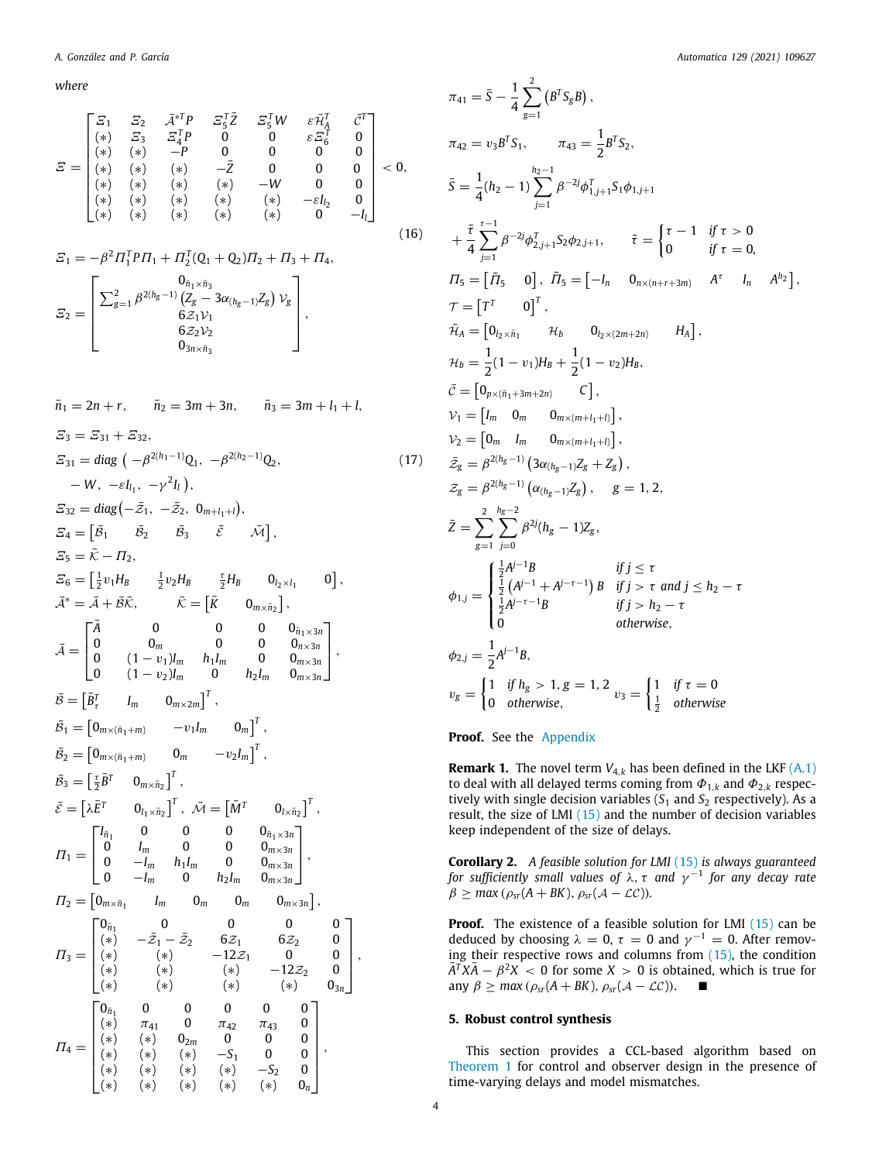*where*

$$
E = \begin{bmatrix} \Xi_1 & \Xi_2 & \bar{\mathcal{A}}^{*T}P & \Xi_5^T\bar{Z} & \Xi_5^T W & \varepsilon\bar{\mathcal{H}}_A^T & \bar{C}^T \\ (*) & \Xi_3 & \Xi_4^T P & 0 & 0 & \varepsilon\bar{\mathcal{H}}_5^T & 0 \\ (*) & (*) & -P & 0 & 0 & 0 & 0 \\ (*) & (*) & (*) & -\bar{Z} & 0 & 0 & 0 \\ (*) & (*) & (*) & (*) & -W & 0 & 0 \\ (*) & (*) & (*) & (*) & (*) & -\varepsilon I_{l_2} & 0 \\ (*) & (*) & (*) & (*) & (*) & () & -I_{l} \end{bmatrix} < 0,
$$
\n
$$
(*)
$$

$$
E_1 = -\beta^2 \Pi_1^T P \Pi_1 + \Pi_2^T (Q_1 + Q_2) \Pi_2 + \Pi_3 + \Pi_4,
$$
  
\n
$$
E_2 = \begin{bmatrix} 0_{\bar{n}_1 \times \bar{n}_3} & 0_{\bar{n}_1 \times \bar{n}_3} \\ \sum_{g=1}^2 \beta^{2(h_g-1)} (Z_g - 3\alpha_{(h_g-1)} Z_g) \nu_g \\ 6Z_1 \nu_1 & 6Z_2 \nu_2 \\ 0_{3n \times \bar{n}_3} & \end{bmatrix},
$$

$$
\bar{n}_1 = 2n + r, \quad \bar{n}_2 = 3m + 3n, \quad \bar{n}_3 = 3m + l_1 + l,
$$
\n
$$
E_3 = E_{31} + E_{32},
$$
\n
$$
E_{31} = diag(-\beta^{2(h_1-1)}Q_1, -\beta^{2(h_2-1)}Q_2, (17)
$$
\n
$$
-W, -\varepsilon l_{1_1}, -\gamma^2 l_1),
$$
\n
$$
E_{32} = diag(-\bar{z}_1, -\bar{z}_2, 0_{m+l_1+1}),
$$
\n
$$
E_4 = [\bar{B}_1 \quad \bar{B}_2 \quad \bar{B}_3 \quad \bar{\varepsilon} \quad \bar{M}],
$$
\n
$$
E_5 = \bar{K} - H_2,
$$
\n
$$
E_6 = [\frac{1}{2}v_1H_B \quad \frac{1}{2}v_2H_B \quad \frac{\tau}{2}H_B \quad 0_{l_2 \times l_1} \quad 0],
$$
\n
$$
\bar{A}^* = \bar{A} + \bar{B}\bar{K}, \quad \bar{K} = [\bar{K} \quad 0_{m \times \bar{n}_2}],
$$
\n
$$
\bar{A} = \begin{bmatrix} \bar{A} & 0 & 0 & 0 & 0_{n_1 \times 3n} \\ 0 & 0 & 0 & 0 & 0_{n_2 \times n} \\ 0 & (1 - v_1)I_m \quad h_1I_m \quad 0 & 0_{m \times 3n} \\ 0 & (1 - v_2)I_m \quad 0 & h_2I_m \quad 0_{m \times 3n} \end{bmatrix},
$$
\n
$$
\bar{B} = [\bar{B}_t^T \quad I_m \quad 0_{m \times 2m}]^T,
$$
\n
$$
\bar{B}_1 = [0_{m \times (\bar{n}_1 + m)} \quad -v_1 I_m \quad 0_m]^T,
$$
\n
$$
\bar{B}_2 = [0_{m \times (\bar{n}_1 + m)} \quad 0_m \quad -v_2 I_m]^T,
$$
\n
$$
\bar{B}_3 = [\frac{\tau}{2} \bar{B}^T \quad 0_{l_1 \times \bar{n}_2}]^T, \quad \bar{M} = [\bar{M}^T \quad 0_{l_1 \times \bar{n}_2}]^T
$$

<span id="page-3-2"></span>
$$
\pi_{41} = \bar{S} - \frac{1}{4} \sum_{g=1}^{2} (B^{T} S_{g} B),
$$
\n
$$
\pi_{42} = v_{3} B^{T} S_{1}, \qquad \pi_{43} = \frac{1}{2} B^{T} S_{2},
$$
\n
$$
\bar{S} = \frac{1}{4} (h_{2} - 1) \sum_{j=1}^{h_{2}-1} \beta^{-2j} \phi_{1,j+1}^{T} S_{1} \phi_{1,j+1}
$$
\n
$$
+ \frac{\tilde{\tau}}{4} \sum_{j=1}^{r-1} \beta^{-2j} \phi_{2,j+1}^{T}, \qquad \tilde{\tau} = \begin{cases} \tau - 1 & \text{if } \tau > 0 \\ 0 & \text{if } \tau = 0 \end{cases}
$$
\n
$$
I_{5} = [\tilde{I}_{5} \quad 0], \quad \tilde{I}_{5} = [-I_{n} \quad 0_{n \times (n+r+3m)} \quad A^{\tau} \quad I_{n} \quad A^{h_{2}}],
$$
\n
$$
\tau = [T^{T} \quad 0]^{T},
$$
\n
$$
\tilde{\tau}_{A} = [0_{t_{2} \times \tilde{n}_{1}} \quad \mathcal{H}_{b} \quad 0_{t_{2} \times (2m+2n)} \quad H_{A}],
$$
\n
$$
\mathcal{H}_{b} = \frac{1}{2} (1 - v_{1}) H_{B} + \frac{1}{2} (1 - v_{2}) H_{B},
$$
\n
$$
\tilde{c} = [0_{p \times (\tilde{n}_{1} + 3m + 2n)} \quad C],
$$
\n
$$
\mathcal{V}_{1} = [I_{m} \quad 0_{m} \quad 0_{m \times (m+l_{1} + 1)}],
$$
\n
$$
\tilde{z}_{g} = \beta^{2(h_{g}-1)} (3\alpha_{(h_{g}-1)} Z_{g}), g = 1, 2,
$$
\n
$$
\tilde{z} = \sum_{g=1}^{2} \sum_{j=0}^{h_{g}-2} \beta^{2j} (h_{g} - 1) Z_{g}, g = 1, 2,
$$
\n
$$
\tilde{z} = \sum_{g=1}^{\frac{1}{2}} \sum_{j=0}^{\frac{1}{2}} \beta^{2j} (h_{g
$$

**Proof.** See the [Appendix](#page-6-0)

**Remark 1.** The novel term  $V_{4,k}$  has been defined in the LKF  $(A.1)$ to deal with all delayed terms coming from  $\Phi_{1,k}$  and  $\Phi_{2,k}$  respectively with single decision variables  $(S_1$  and  $S_2$  respectively). As a result, the size of LMI [\(15\)](#page-2-9) and the number of decision variables keep independent of the size of delays.

<span id="page-3-1"></span>**Corollary 2.** *A feasible solution for LMI* [\(15\)](#page-2-9) *is always guaranteed for sufficiently small values of* λ, τ *and* γ −1 *for any decay rate*  $\beta \geq max(\rho_{sr}(A+BK), \rho_{sr}(A-\mathcal{LC})).$ 

**Proof.** The existence of a feasible solution for LMI ([15](#page-2-9)) can be deduced by choosing  $\lambda = 0$ ,  $\tau = 0$  and  $\gamma^{-1} = 0$ . After removing their respective rows and columns from  $(15)$ , the condition  $\overline{A}^T \overline{X} \overline{A} - \beta^2 X < 0$  for some  $X > 0$  is obtained, which is true for any  $\beta$  ≥ *max* ( $\rho_{sr}(A + BK)$ ,  $\rho_{sr}(A - \mathcal{LC})$ ). ■

## **5. Robust control synthesis**

<span id="page-3-0"></span>This section provides a CCL-based algorithm based on [Theorem](#page-2-10) [1](#page-2-10) for control and observer design in the presence of time-varying delays and model mismatches.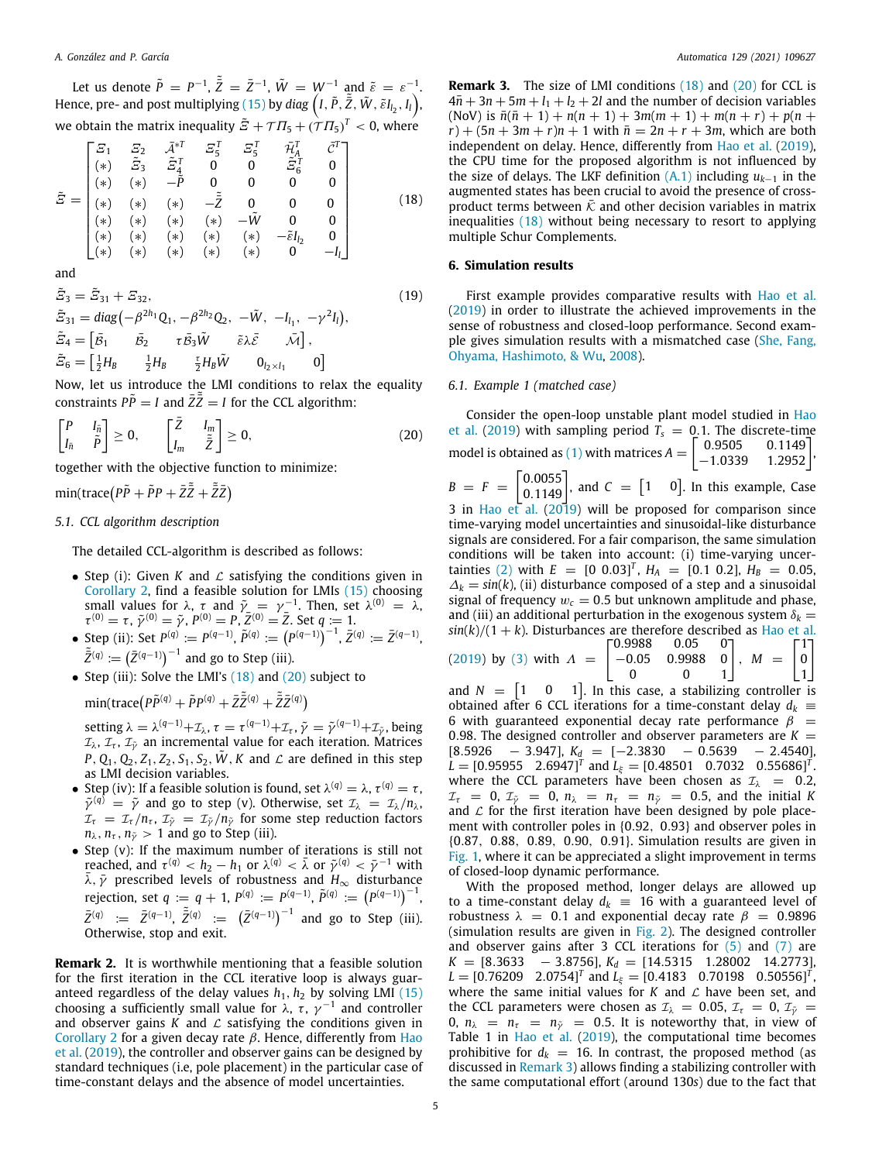Let us denote  $\tilde{P} = P^{-1}$ ,  $\tilde{\bar{Z}} = \bar{Z}^{-1}$ ,  $\tilde{W} = W^{-1}$  and  $\tilde{\varepsilon} = \varepsilon^{-1}$ . Hence, pre- and post multiplying  $(15)$  $(15)$  $(15)$  by  $diag\left(I,\tilde{P}, \tilde{\tilde{Z}},\tilde{W},\tilde{\varepsilon}I_{l_2},I_{l}\right)$ , we obtain the matrix inequality  $\tilde{E} + \mathcal{T} \varPi_5 + (\tilde{\mathcal{T}} \varPi_5)^T < 0$ , where

$$
\tilde{E} = \begin{bmatrix}\n\Xi_1 & \Xi_2 & \bar{A}^{*T} & \Xi_5^T & \Xi_5^T & \tilde{n}_A^T & \tilde{C}^T \\
(*) & \tilde{E}_3 & \tilde{E}_4^T & 0 & 0 & \tilde{E}_6^T & 0 \\
(*) & (*) & -\tilde{P} & 0 & 0 & 0 & 0 \\
(*) & (*) & (*) & -\tilde{Z} & 0 & 0 & 0 \\
(*) & (*) & (*) & (*) & -\tilde{W} & 0 & 0 \\
(*) & (*) & (*) & (*) & (*) & -\tilde{k}_1 & 0 \\
(*) & (*) & (*) & (*) & (*) & 0 & -I_1\n\end{bmatrix}
$$
\n(18)

and

$$
\tilde{E}_3 = \tilde{E}_{31} + E_{32},
$$
\n
$$
\tilde{E}_{31} = \text{diag}\left(-\beta^{2h_1} Q_1, -\beta^{2h_2} Q_2, -\tilde{W}, -I_{l_1}, -\gamma^2 I_l\right),
$$
\n
$$
\tilde{E}_4 = \begin{bmatrix} \bar{B}_1 & \bar{B}_2 & \tau \bar{B}_3 \tilde{W} & \tilde{\epsilon} \lambda \bar{\epsilon} & \bar{\lambda} \bar{I} \end{bmatrix},
$$
\n
$$
\tilde{E}_6 = \begin{bmatrix} \frac{1}{2} H_B & \frac{1}{2} H_B & \frac{\tau}{2} H_B \tilde{W} & 0_{l_2 \times l_1} & 0 \end{bmatrix}
$$
\n(19)

Now, let us introduce the LMI conditions to relax the equality constraints  $\tilde{PP} = I$  and  $\tilde{Z} \tilde{\tilde{Z}} = I$  for the CCL algorithm:

$$
\begin{bmatrix} P & I_{\bar{n}} \\ I_{\bar{n}} & \tilde{P} \end{bmatrix} \geq 0, \qquad \begin{bmatrix} \bar{Z} & I_{m} \\ I_{m} & \tilde{Z} \end{bmatrix} \geq 0, \tag{20}
$$

together with the objective function to minimize:

 $\text{min}(\text{trace}(P\tilde{P} + \tilde{P}P + \tilde{Z}\tilde{\bar{Z}} + \tilde{\bar{Z}}\bar{Z})$ 

## *5.1. CCL algorithm description*

The detailed CCL-algorithm is described as follows:

- Step (i): Given *K* and  $\mathcal L$  satisfying the conditions given in [Corollary](#page-3-1) [2](#page-3-1), find a feasible solution for LMIs ([15](#page-2-9)) choosing small values for  $\lambda$ ,  $\tau$  and  $\tilde{\gamma} = \gamma^{-1}$ . Then, set  $\lambda^{(0)} = \lambda$ ,  $\tau^{(0)} = \tau$ ,  $\tilde{\gamma}^{(0)} = \tilde{\gamma}$ ,  $P^{(0)} = P$ ,  $\tilde{Z}^{(0)} = \tilde{Z}$ . Set  $q := 1$ .
- Step (ii): Set  $P^{(q)} := P^{(q-1)}$ ,  $\tilde{P}^{(q)} := (P^{(q-1)})^{-1}$ ,  $\bar{Z}^{(q)} := \bar{Z}^{(q-1)}$ ,  $\tilde{\bar{Z}}^{(q)} := (\bar{Z}^{(q-1)})^{-1}$  and go to Step (iii).
- Step (iii): Solve the LMI's ([18\)](#page-4-1) and [\(20](#page-4-2)) subject to

 $\min(\text{trace}(P\tilde{P}^{(q)} + \tilde{P}P^{(q)} + \tilde{Z}\tilde{\bar{Z}}^{(q)} + \tilde{\bar{Z}}Z^{(q)})$ 

setting  $\lambda = \lambda^{(q-1)} + \mathcal{I}_\lambda$ ,  $\tau = \tau^{(q-1)} + \mathcal{I}_\tau$ ,  $\tilde{\gamma} = \tilde{\gamma}^{(q-1)} + \mathcal{I}_{\tilde{\gamma}}$ , being  $\mathcal{I}_\lambda$ ,  $\mathcal{I}_\tau$ ,  $\mathcal{I}_{\tilde\gamma}$  an incremental value for each iteration. Matrices *P*,  $Q_1$ ,  $Q_2$ ,  $Z_1$ ,  $Z_2$ ,  $S_1$ ,  $S_2$ ,  $\tilde{W}$ ,  $K$  and  $\mathcal{L}$  are defined in this step as LMI decision variables.

- Step (iv): If a feasible solution is found, set  $\lambda^{(q)} = \lambda$ ,  $\tau^{(q)} = \tau$ ,  $\tilde{\gamma}^{(q)} = \tilde{\gamma}$  and go to step (v). Otherwise, set  $\mathcal{I}_{\lambda} = \mathcal{I}_{\lambda}/n_{\lambda}$ ,  $\mathcal{I}_{\tau} = \mathcal{I}_{\tau}/n_{\tau}, \mathcal{I}_{\tilde{\gamma}} = \mathcal{I}_{\tilde{\gamma}}/n_{\tilde{\gamma}}$  for some step reduction factors  $n_{\lambda}$ ,  $n_{\tau}$ ,  $n_{\tilde{\gamma}} > 1$  and go to Step (iii).
- Step (v): If the maximum number of iterations is still not reached, and  $\tau^{(q)} < h_2 - h_1$  or  $\lambda^{(q)} < \bar{\lambda}$  or  $\tilde{\gamma}^{(q)} < \bar{\gamma}^{-1}$  with  $\overline{\lambda}$ ,  $\overline{\gamma}$  prescribed levels of robustness and  $H_{\infty}$  disturbance rejection, set  $q := q + 1$ ,  $P^{(q)} := P^{(q-1)}$ ,  $\tilde{P}^{(q)} := (P^{(q-1)})^{-1}$ ,  $\bar{Z}^{(q)} \; := \; \bar{Z}^{(q-1)}, \; \tilde{\bar{Z}}^{(q)} \; := \; (\bar{Z}^{(q-1)})^{-1}$  and go to Step (iii). Otherwise, stop and exit.

**Remark 2.** It is worthwhile mentioning that a feasible solution for the first iteration in the CCL iterative loop is always guaranteed regardless of the delay values  $h_1$ ,  $h_2$  by solving LMI [\(15\)](#page-2-9) choosing a sufficiently small value for  $\lambda$ ,  $\tau$ ,  $\gamma^{-1}$  and controller and observer gains  $K$  and  $\mathcal L$  satisfying the conditions given in [Corollary](#page-3-1) [2](#page-3-1) for a given decay rate  $β$ . Hence, differently from [Hao](#page-7-29) [et al.](#page-7-29) [\(2019](#page-7-29)), the controller and observer gains can be designed by standard techniques (i.e, pole placement) in the particular case of time-constant delays and the absence of model uncertainties.

<span id="page-4-3"></span>**Remark 3.** The size of LMI conditions ([18](#page-4-1)) and [\(20\)](#page-4-2) for CCL is  $4\bar{n} + 3n + 5m + l_1 + l_2 + 2l$  and the number of decision variables  $(NoV)$  is  $\bar{n}(\bar{n}+1) + n(n+1) + 3m(m+1) + m(n+r) + p(n+r)$  $r$ ) + (5*n* + 3*m* + *r*)*n* + 1 with  $\bar{n} = 2n + r + 3m$ , which are both independent on delay. Hence, differently from [Hao et al.](#page-7-29) [\(2019\)](#page-7-29), the CPU time for the proposed algorithm is not influenced by the size of delays. The LKF definition  $(A,1)$  including  $u_{k-1}$  in the augmented states has been crucial to avoid the presence of crossproduct terms between  $\bar{\mathcal{K}}$  and other decision variables in matrix inequalities [\(18\)](#page-4-1) without being necessary to resort to applying multiple Schur Complements.

## <span id="page-4-1"></span>**6. Simulation results**

<span id="page-4-0"></span>First example provides comparative results with [Hao et al.](#page-7-29) ([2019\)](#page-7-29) in order to illustrate the achieved improvements in the sense of robustness and closed-loop performance. Second example gives simulation results with a mismatched case ([She, Fang,](#page-7-33) [Ohyama, Hashimoto, & Wu,](#page-7-33) [2008\)](#page-7-33).

#### *6.1. Example 1 (matched case)*

<span id="page-4-2"></span>Consider the open-loop unstable plant model studied in [Hao](#page-7-29) [et al.](#page-7-29) ([2019](#page-7-29)) with sampling period  $T_s = 0.1$ . The discrete-time<br>model is sharing as (1) with matrices  $A = \begin{bmatrix} 0.9505 & 0.1149 \end{bmatrix}$ model is obtained as ([1\)](#page-1-2) with matrices  $A = \begin{bmatrix} 0.9505 & 0.1149 \\ -1.0339 & 1.2952 \end{bmatrix}$  $1.2952$  $B = F = \begin{bmatrix} 0.0055 \\ 0.1149 \end{bmatrix}$ , and  $C = \begin{bmatrix} 1 & 0 \end{bmatrix}$ . In this example, Case 3 in [Hao et al.](#page-7-29) ([2019](#page-7-29)) will be proposed for comparison since time-varying model uncertainties and sinusoidal-like disturbance signals are considered. For a fair comparison, the same simulation conditions will be taken into account: (i) time-varying uncer-tainties [\(2\)](#page-1-5) with  $E = [0 \ 0.03]^T$ ,  $H_A = [0.1 \ 0.2]$ ,  $H_B = 0.05$ ,  $\Delta_k = \sin(k)$ , (ii) disturbance composed of a step and a sinusoidal signal of frequency  $w_c = 0.5$  but unknown amplitude and phase, and (iii) an additional perturbation in the exogenous system  $\delta_k =$  $sin(k)/(1 + k)$ . Disturbances are therefore described as [Hao et al.](#page-7-29)<br><sup>1</sup>1 - <sup>71</sup> - 0.9988 0.05 - 0 [ 0.9988 0.05 0  $\lceil$ <sup>1</sup>]

(2019) by (3) with 
$$
A = \begin{bmatrix} 0.9988 & 0.05 & 0 \\ -0.05 & 0.9988 & 0 \\ 0 & 0 & 1 \end{bmatrix}
$$
,  $M = \begin{bmatrix} 1 \\ 0 \\ 1 \end{bmatrix}$ 

and  $N = \begin{bmatrix} 1 & 0 & 1 \end{bmatrix}$ . In this case, a stabilizing controller is obtained after 6 CCL iterations for a time-constant delay  $d_k \equiv$ 6 with guaranteed exponential decay rate performance  $\beta =$ 0.98. The designed controller and observer parameters are  $K =$  $[8.5926 - 3.947]$ ,  $K_d = [-2.3830 - 0.5639 - 2.4540]$ ,  $L = [0.95955 \quad 2.6947]^T$  and  $L_{\xi} = [0.48501 \quad 0.7032 \quad 0.55686]^T$ . where the CCL parameters have been chosen as  $\mathcal{I}_{\lambda}$  = 0.2,  $\mathcal{I}_{\tau} = 0$ ,  $\mathcal{I}_{\tilde{\gamma}} = 0$ ,  $n_{\lambda} = n_{\tau} = n_{\tilde{\gamma}} = 0.5$ , and the initial K and  $\mathcal L$  for the first iteration have been designed by pole placement with controller poles in {0.92, 0.93} and observer poles in {0.87, 0.88, 0.89, 0.90, 0.91}. Simulation results are given in [Fig.](#page-5-1) [1,](#page-5-1) where it can be appreciated a slight improvement in terms of closed-loop dynamic performance.

With the proposed method, longer delays are allowed up to a time-constant delay  $d_k$  = 16 with a guaranteed level of robustness  $\lambda = 0.1$  and exponential decay rate  $\beta = 0.9896$ (simulation results are given in [Fig.](#page-5-2) [2](#page-5-2)). The designed controller and observer gains after 3 CCL iterations for  $(5)$  $(5)$  $(5)$  and  $(7)$  are  $K = [8.3633 - 3.8756], K_d = [14.5315 1.28002 14.2773],$  $L = [0.76209 \quad 2.0754]^T$  and  $L_{\xi} = [0.4183 \quad 0.70198 \quad 0.50556]^T$ , where the same initial values for  $K$  and  $\mathcal L$  have been set, and the CCL parameters were chosen as  $\mathcal{I}_{\lambda} = 0.05$ ,  $\mathcal{I}_{\tau} = 0$ ,  $\mathcal{I}_{\tilde{\nu}} =$ 0,  $n_{\lambda}$  =  $n_{\tau}$  =  $n_{\tilde{\gamma}}$  = 0.5. It is noteworthy that, in view of Table 1 in [Hao et al.](#page-7-29) ([2019](#page-7-29)), the computational time becomes prohibitive for  $d_k = 16$ . In contrast, the proposed method (as discussed in [Remark](#page-4-3) [3](#page-4-3)) allows finding a stabilizing controller with the same computational effort (around 130*s*) due to the fact that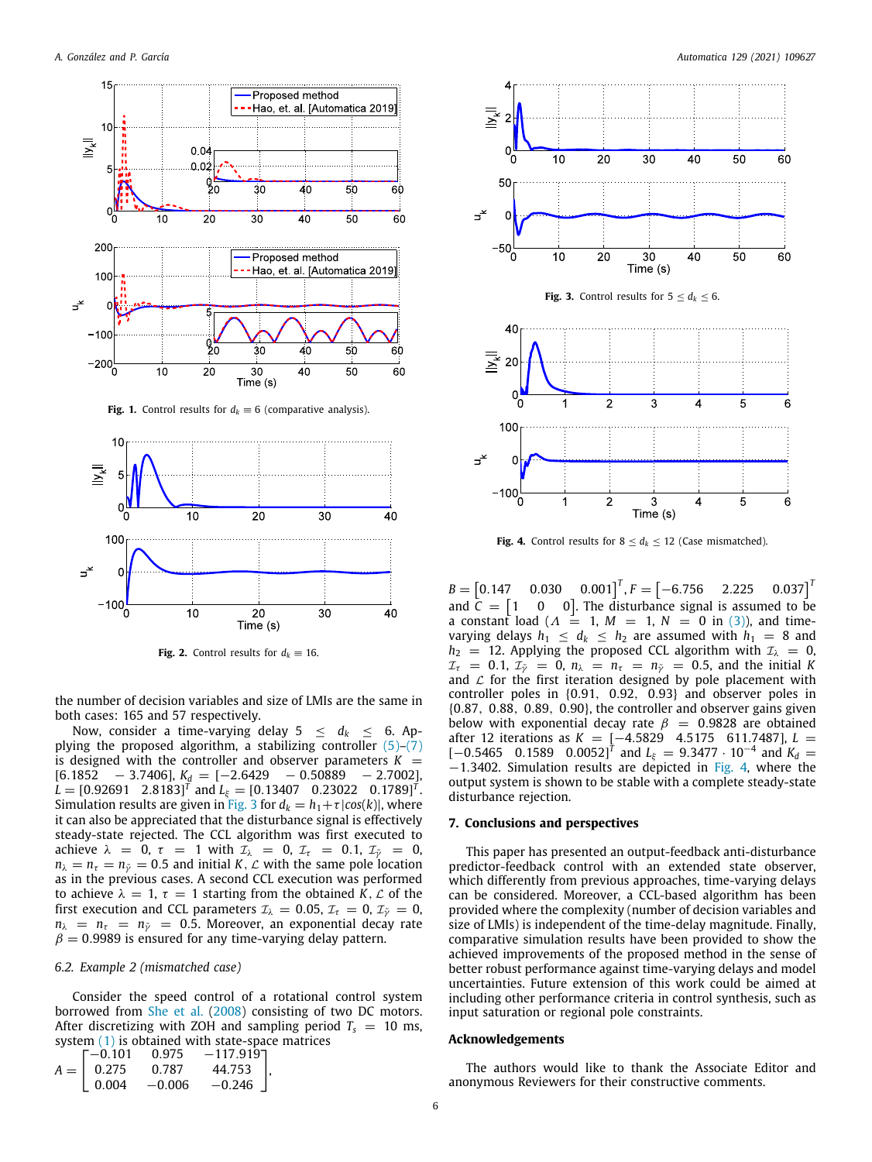

**Fig. 1.** Control results for  $d_k \equiv 6$  (comparative analysis).

<span id="page-5-1"></span>

**Fig. 2.** Control results for  $d_k \equiv 16$ .

<span id="page-5-2"></span>the number of decision variables and size of LMIs are the same in both cases: 165 and 57 respectively.

Now, consider a time-varying delay  $5 \leq d_k \leq 6$ . Applying the proposed algorithm, a stabilizing controller [\(5\)](#page-1-3)–([7\)](#page-2-2) is designed with the controller and observer parameters  $K =$ [6.1852 − 3.7406], *K<sup>d</sup>* = [−2.6429 − 0.50889 − 2.7002],  $L = [0.92691 \quad 2.8183]^T$  and  $L_{\xi} = [0.13407 \quad 0.23022 \quad 0.1789]^T$ . Simulation results are given in [Fig.](#page-5-3) [3](#page-5-3) for  $d_k = h_1 + \tau |\cos(k)|$ , where it can also be appreciated that the disturbance signal is effectively steady-state rejected. The CCL algorithm was first executed to achieve  $\lambda = 0$ ,  $\tau = 1$  with  $\overline{\tau_{\lambda}} = 0$ ,  $\overline{\tau_{\tau}} = 0.1$ ,  $\overline{\tau_{\gamma}} = 0$ ,  $n_{\lambda} = n_{\tau} = n_{\tilde{\gamma}} = 0.5$  and initial *K*, *L* with the same pole location as in the previous cases. A second CCL execution was performed to achieve  $\lambda = 1$ ,  $\tau = 1$  starting from the obtained *K*, *L* of the first execution and CCL parameters  $\mathcal{I}_{\lambda} = 0.05$ ,  $\mathcal{I}_{\tau} = 0$ ,  $\mathcal{I}_{\tilde{\nu}} = 0$ ,  $n_{\lambda}$  =  $n_{\tau}$  =  $n_{\tilde{\nu}}$  = 0.5. Moreover, an exponential decay rate  $\hat{\beta} = 0.9989$  is ensured for any time-varying delay pattern.

### *6.2. Example 2 (mismatched case)*

Consider the speed control of a rotational control system borrowed from [She et al.](#page-7-33) ([2008](#page-7-33)) consisting of two DC motors. After discretizing with ZOH and sampling period  $T_s = 10$  ms, system ([1](#page-1-2)) is obtained with state-space matrices

$$
A = \begin{bmatrix} -0.101 & 0.975 & -117.919 \\ 0.275 & 0.787 & 44.753 \\ 0.004 & -0.006 & -0.246 \end{bmatrix},
$$



<span id="page-5-3"></span>ಕೆ

ಕ

 $-100$ 

<span id="page-5-4"></span>**Fig. 4.** Control results for  $8 \le d_k \le 12$  (Case mismatched).

3

Time (s)

 $\overline{4}$ 

5

6

 $\overline{2}$ 

1

 $B = [$  $[0.147 \quad 0.030 \quad 0.001]^{T}$ ,  $F = [-6.756 \quad 2.225 \quad 0.037]^{T}$ and  $\bar{C} = \begin{bmatrix}$  $\overline{\mathbf{0}}$ 0]. The disturbance signal is assumed to be a constant load ( $\Lambda = 1$ ,  $M = 1$ ,  $N = 0$  in [\(3](#page-1-4))), and timevarying delays  $h_1 \leq d_k \leq h_2$  are assumed with  $h_1 = 8$  and  $h_2$  = 12. Applying the proposed CCL algorithm with  $\mathcal{I}_\lambda$  = 0,  $\mathcal{I}_\tau$  = 0.1,  $\mathcal{I}_\nu$  = 0,  $n_\lambda$  =  $n_\tau$  =  $n_\nu$  = 0.5, and the initial K  $I_0 = 0.1, \mathcal{I}_{\tilde{\nu}} = 0, n_{\lambda} = n_{\tilde{\nu}} = n_{\tilde{\nu}} = 0.5$ , and the initial K and  $\mathcal L$  for the first iteration designed by pole placement with controller poles in {0.91, 0.92, 0.93} and observer poles in {0.87, 0.88, 0.89, 0.90}, the controller and observer gains given below with exponential decay rate  $\beta = 0.9828$  are obtained after 12 iterations as *K* = [−4.5829 4.5175 611.7487], *L* =  $[-0.5465 \quad 0.1589 \quad 0.0052]$ <sup>T</sup> and  $L_{\xi} = 9.3477 \cdot 10^{-4}$  and  $K_d =$ −1.3402. Simulation results are depicted in [Fig.](#page-5-4) [4](#page-5-4), where the output system is shown to be stable with a complete steady-state disturbance rejection.

## **7. Conclusions and perspectives**

<span id="page-5-0"></span>This paper has presented an output-feedback anti-disturbance predictor-feedback control with an extended state observer, which differently from previous approaches, time-varying delays can be considered. Moreover, a CCL-based algorithm has been provided where the complexity (number of decision variables and size of LMIs) is independent of the time-delay magnitude. Finally, comparative simulation results have been provided to show the achieved improvements of the proposed method in the sense of better robust performance against time-varying delays and model uncertainties. Future extension of this work could be aimed at including other performance criteria in control synthesis, such as input saturation or regional pole constraints.

#### **Acknowledgements**

The authors would like to thank the Associate Editor and anonymous Reviewers for their constructive comments.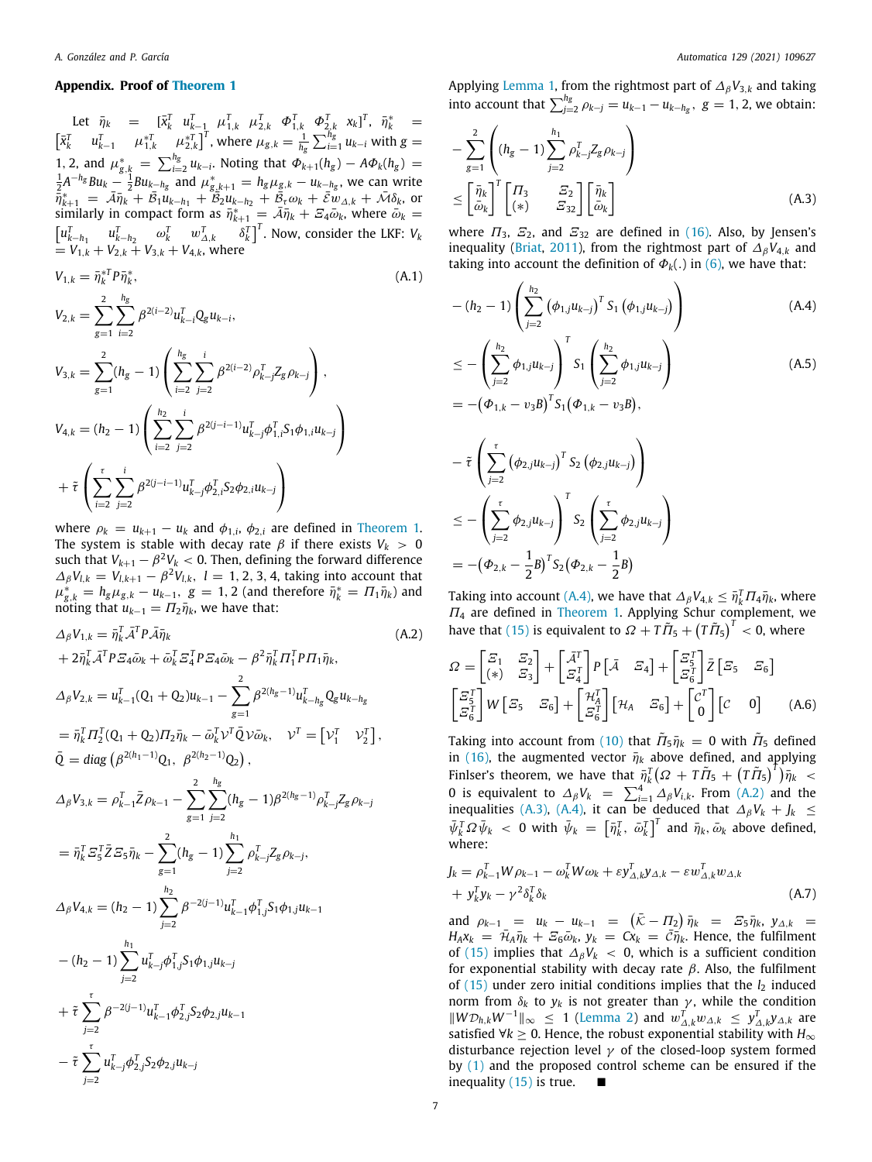#### **Appendix. Proof of [Theorem](#page-2-10) [1](#page-2-10)**

<span id="page-6-0"></span>Let  $\bar{\eta}_k$  =  $[\bar{x}_k^T \ \ u_{k-1}^T \ \mu_{1,k}^T \ \mu_{2,k}^T \ \ \Phi_{1,k}^T \ \ \Phi_{2,k}^T \ \ x_k]^T$ ,  $\bar{\eta}_k^*$  =  $\begin{bmatrix} \bar{x}_k^T & u_{k-1}^T & \mu_{1,k}^{*T} & u_{2,k}^{*T} \end{bmatrix}^T$ , where  $\mu_{g,k} = \frac{1}{h_g} \sum_{i=1}^{h_g} u_{k-i}$  with  $g =$ 1, 2, and  $\mu_{g,k}^* = \sum_{i=2}^{h_g} u_{k-i}$ . Noting that  $\Phi_{k+1}(h_g) - A\Phi_k(h_g) = \frac{1}{2}A^{-h_g}Bu_k - \frac{1}{2}Bu_{k-h_g}$  and  $\mu_{g,k+1}^* = h_g\mu_{g,k} - u_{k-h_g}$ , we can write  $\bar{\tilde{\eta}}_{k+1}^* = \bar{\mathcal{A}} \bar{\eta}_k + \bar{\mathcal{B}}_1 \tilde{\mu}_{k-h_1} + \bar{\mathcal{B}}_2 \tilde{\mu}_{k-h_2} + \bar{\tilde{\mathcal{B}}}_\tau \omega_k + \bar{\mathcal{E}} \tilde{\psi}_{\Delta,k} + \bar{\mathcal{M}} \delta_k$ , or similarly in compact form as  $\bar{\eta}_{k+1}^* = \bar{\mathcal{A}} \bar{\eta}_k + \bar{\mathcal{A}} \bar{\omega}_k$ , where  $\bar{\omega}_k =$  $\begin{bmatrix} u_{k-h_1}^T & u_{k-h_2}^T & \omega_k^T & w_{\Delta,k}^T & \delta_k^T \end{bmatrix}^T$ . Now, consider the LKF: *V<sub>k</sub>*  $= V_{1,k} + V_{2,k} + V_{3,k} + V_{4,k}$ , where

$$
V_{1,k} = \bar{\eta}_k^{*T} P \bar{\eta}_k^*,
$$
\n
$$
V_{2,k} = \sum_{g=1}^2 \sum_{i=2}^{h_g} \beta^{2(i-2)} u_{k-i}^T Q_g u_{k-i},
$$
\n
$$
V_{3,k} = \sum_{g=1}^2 (h_g - 1) \left( \sum_{i=2}^{h_g} \sum_{j=2}^i \beta^{2(i-2)} \rho_{k-j}^T Z_g \rho_{k-j} \right),
$$
\n
$$
V_{4,k} = (h_2 - 1) \left( \sum_{i=2}^{h_2} \sum_{j=2}^i \beta^{2(j-i-1)} u_{k-j}^T \phi_{1,i}^T S_1 \phi_{1,i} u_{k-j} \right)
$$
\n
$$
+ \tilde{\tau} \left( \sum_{i=2}^{\tau} \sum_{j=2}^i \beta^{2(j-i-1)} u_{k-j}^T \phi_{2,i}^T S_2 \phi_{2,i} u_{k-j} \right)
$$
\n
$$
(A.1)
$$

where  $\rho_k = u_{k+1} - u_k$  and  $\phi_{1,i}$ ,  $\phi_{2,i}$  are defined in [Theorem](#page-2-10) [1.](#page-2-10) The system is stable with decay rate  $\beta$  if there exists  $V_k > 0$ such that  $V_{k+1} - \beta^2 V_k < 0$ . Then, defining the forward difference  $\Delta_{\beta}V_{l,k} = V_{l,k+1} - \beta^2 V_{l,k}, l = 1, 2, 3, 4$ , taking into account that  $\mu_{g,k}^* = h_g \mu_{g,k} - u_{k-1}, \ g = 1, 2$  (and therefore  $\bar{\eta}_k^* = \Pi_1 \bar{\eta}_k$ ) and noting that  $u_{k-1} = \Pi_2 \overline{\eta}_k$ , we have that:

$$
\Delta_{\beta} V_{1,k} = \bar{\eta}_{k}^{T} \bar{A}^{T} P \bar{A} \bar{\eta}_{k} \qquad (A.2)
$$
\n
$$
+ 2 \bar{\eta}_{k}^{T} \bar{A}^{T} P \bar{Z}_{4} \bar{\omega}_{k} + \bar{\omega}_{k}^{T} \bar{Z}_{4}^{T} P \bar{Z}_{4} \bar{\omega}_{k} - \beta^{2} \bar{\eta}_{k}^{T} \Pi_{1}^{T} P \Pi_{1} \bar{\eta}_{k}, \qquad A_{\beta} V_{2,k} = u_{k-1}^{T} (Q_{1} + Q_{2}) u_{k-1} - \sum_{g=1}^{2} \beta^{2(h_{g}-1)} u_{k-h_{g}}^{T} Q_{g} u_{k-h_{g}}
$$
\n
$$
= \bar{\eta}_{k}^{T} \Pi_{2}^{T} (Q_{1} + Q_{2}) \Pi_{2} \bar{\eta}_{k} - \bar{\omega}_{k}^{T} \mathcal{V}^{T} \bar{Q} \mathcal{V} \bar{\omega}_{k}, \qquad \mathcal{V}^{T} = [\mathcal{V}_{1}^{T} \quad \mathcal{V}_{2}^{T}],
$$
\n
$$
\bar{Q} = \text{diag} \left( \beta^{2(h_{1}-1)} Q_{1}, \ \beta^{2(h_{2}-1)} Q_{2} \right),
$$
\n
$$
\Delta_{\beta} V_{3,k} = \rho_{k-1}^{T} \bar{Z} \rho_{k-1} - \sum_{g=1}^{2} \sum_{j=2}^{h_{g}} (h_{g} - 1) \beta^{2(h_{g}-1)} \rho_{k-j}^{T} Z_{g} \rho_{k-j}
$$
\n
$$
= \bar{\eta}_{k}^{T} \bar{Z}_{5} \bar{Z} \bar{\omega}_{5} \bar{\eta}_{k} - \sum_{g=1}^{2} (h_{g} - 1) \sum_{j=2}^{h_{1}} \rho_{k-j}^{T} Z_{g} \rho_{k-j},
$$
\n
$$
\Delta_{\beta} V_{4,k} = (h_{2} - 1) \sum_{j=2}^{h_{2}} \beta^{-2(j-1)} u_{k-1}^{T} \phi_{1,j}^{T} \zeta_{1} \phi_{1,j} u_{k-1}
$$
\n
$$
- (h_{2} - 1) \sum_{j=2}^{h_{1}} u_{k-j}^{T} \phi_{2
$$

Applying [Lemma](#page-1-10) [1](#page-1-10), from the rightmost part of ∆β*V*3,*<sup>k</sup>* and taking into account that  $\sum_{j=2}^{h_g} \rho_{k-j} = u_{k-1} - u_{k-h_g}, \ g = 1, 2$ , we obtain:

<span id="page-6-4"></span>
$$
-\sum_{g=1}^{2} \left( (h_g - 1) \sum_{j=2}^{h_1} \rho_{k-j}^T Z_g \rho_{k-j} \right)
$$
  

$$
\leq \left[ \frac{\bar{\eta}_k}{\bar{\omega}_k} \right]^T \begin{bmatrix} \Pi_3 & Z_2 \\ (*) & Z_{32} \end{bmatrix} \begin{bmatrix} \bar{\eta}_k \\ \bar{\omega}_k \end{bmatrix} \tag{A.3}
$$

where  $\Pi_3$ ,  $\Sigma_2$ , and  $\Sigma_{32}$  are defined in ([16](#page-3-2)). Also, by Jensen's inequality ([Briat](#page-7-34), [2011\)](#page-7-34), from the rightmost part of  $\Delta_\beta V_{4,k}$  and taking into account the definition of  $\Phi_k(.)$  in [\(6\)](#page-1-7), we have that:

<span id="page-6-2"></span><span id="page-6-1"></span>
$$
-(h_2-1)\left(\sum_{j=2}^{h_2} (\phi_{1,j}u_{k-j})^T S_1 (\phi_{1,j}u_{k-j})\right)
$$
 (A.4)

$$
\leq -\left(\sum_{j=2}^{h_2} \phi_{1,j} u_{k-j}\right)^T S_1 \left(\sum_{j=2}^{h_2} \phi_{1,j} u_{k-j}\right) \n= -(\phi_{1,k} - v_3 B)^T S_1 (\phi_{1,k} - v_3 B),
$$
\n(A.5)

$$
- \tilde{\tau} \left( \sum_{j=2}^{\tau} (\phi_{2,j} u_{k-j})^T S_2 (\phi_{2,j} u_{k-j}) \right)
$$
  

$$
\leq - \left( \sum_{j=2}^{\tau} \phi_{2,j} u_{k-j} \right)^T S_2 \left( \sum_{j=2}^{\tau} \phi_{2,j} u_{k-j} \right)
$$
  

$$
= -(\Phi_{2,k} - \frac{1}{2} B)^T S_2 (\Phi_{2,k} - \frac{1}{2} B)
$$

Taking into account [\(A.4\)](#page-6-2), we have that  $\Delta_{\beta}V_{4,k} \leq \bar{\eta}_k^T \Pi_4 \bar{\eta}_k$ , where  $\Pi_4$  are defined in [Theorem](#page-2-10) [1](#page-2-10). Applying Schur complement, we have that ([15](#page-2-9)) is equivalent to  $\Omega + T \tilde{T}_5 + (\tilde{T} \tilde{T}_5)^T < 0$ , where

<span id="page-6-3"></span>
$$
\Omega = \begin{bmatrix} \mathcal{Z}_1 & \mathcal{Z}_2 \\ (\ast) & \mathcal{Z}_3 \end{bmatrix} + \begin{bmatrix} \bar{\mathcal{A}}^T \\ \mathcal{Z}_4^T \end{bmatrix} P \begin{bmatrix} \bar{\mathcal{A}} & \mathcal{Z}_4 \end{bmatrix} + \begin{bmatrix} \mathcal{Z}_5^T \\ \mathcal{Z}_6^T \end{bmatrix} \bar{Z} \begin{bmatrix} \mathcal{Z}_5 & \mathcal{Z}_6 \end{bmatrix}
$$

$$
\begin{bmatrix} \mathcal{Z}_5^T \\ \mathcal{Z}_6^T \end{bmatrix} W \begin{bmatrix} \mathcal{Z}_5 & \mathcal{Z}_6 \end{bmatrix} + \begin{bmatrix} \mathcal{H}_4^T \\ \mathcal{Z}_6^T \end{bmatrix} \begin{bmatrix} \mathcal{H}_A & \mathcal{Z}_6 \end{bmatrix} + \begin{bmatrix} \mathcal{C}^T \\ \mathcal{O} \end{bmatrix} \begin{bmatrix} \mathcal{C} & \mathbf{0} \end{bmatrix} \tag{A.6}
$$

Taking into account from [\(10\)](#page-2-3) that  $\tilde{\Pi}_5 \tilde{\eta}_k = 0$  with  $\tilde{\Pi}_5$  defined in [\(16\)](#page-3-2), the augmented vector  $\bar{\eta}_k$  above defined, and applying Finlser's theorem, we have that  $\bar{\eta}_k^T\big( \varOmega + T \tilde{\varPi}_5 + \big( T \tilde{\varPi}_5 \big)^T \big) \bar{\eta}_k \; < \;$ 0 is equivalent to  $\Delta_{\beta}V_k$  =  $\sum_{i=1}^4 \Delta_{\beta}V_{i,k}$ . From ([A.2\)](#page-6-3) and the inequalities ([A.3\)](#page-6-4), [\(A.4](#page-6-2)), it can be deduced that  $\Delta_{\beta}V_k + J_k \leq$  $\bar{\psi}_k^T \Omega \bar{\psi}_k$  < 0 with  $\bar{\psi}_k = \left[ \bar{\eta}_k^T, \ \bar{\omega}_k^T \right]^T$  and  $\bar{\eta}_k, \bar{\omega}_k$  above defined, where:

$$
J_k = \rho_{k-1}^T W \rho_{k-1} - \omega_k^T W \omega_k + \varepsilon y_{\Delta,k}^T y_{\Delta,k} - \varepsilon w_{\Delta,k}^T w_{\Delta,k} + y_k^T y_k - \gamma^2 \delta_k^T \delta_k
$$
\n(A.7)

and  $\rho_{k-1} = u_k - u_{k-1} = (\bar{K} - \Pi_2) \bar{\eta}_k = S_5 \bar{\eta}_k$ ,  $y_{\Delta,k} =$  $H_A x_k = \bar{\mathcal{H}}_A \bar{\eta}_k + \mathcal{E}_6 \bar{\omega}_k$ ,  $y_k = Cx_k = \bar{\mathcal{C}} \bar{\eta}_k$ . Hence, the fulfilment of ([15](#page-2-9)) implies that  $\Delta_{\beta}V_k$  < 0, which is a sufficient condition for exponential stability with decay rate  $\beta$ . Also, the fulfilment of  $(15)$  $(15)$  under zero initial conditions implies that the  $l_2$  induced norm from  $\delta_k$  to  $y_k$  is not greater than  $\gamma$ , while the condition  $||W\mathcal{D}_{h,k}W^{-1}||_{\infty}$  ≤ 1 ([Lemma](#page-1-8) [2\)](#page-1-8) and  $w_{\Delta,k}^T w_{\Delta,k}$  ≤  $y_{\Delta,k}^T y_{\Delta,k}$  are satisfied ∀*k*  $\geq$  0. Hence, the robust exponential stability with  $H_{\infty}$ disturbance rejection level  $\nu$  of the closed-loop system formed by ([1\)](#page-1-2) and the proposed control scheme can be ensured if the inequality [\(15\)](#page-2-9) is true.  $\blacksquare$